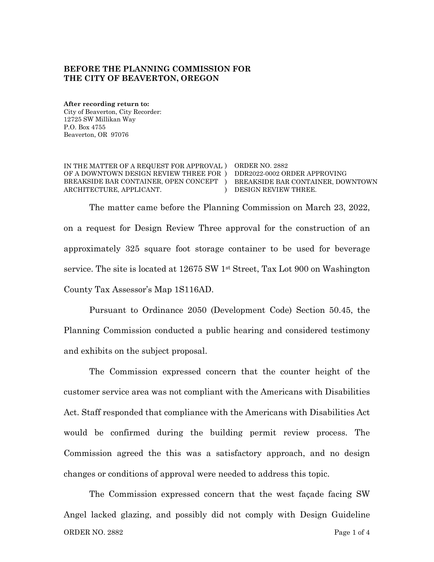#### **BEFORE THE PLANNING COMMISSION FOR THE CITY OF BEAVERTON, OREGON**

**After recording return to:** City of Beaverton, City Recorder: 12725 SW Millikan Way P.O. Box 4755 Beaverton, OR 97076

IN THE MATTER OF A REQUEST FOR APPROVAL ) ORDER NO. 2882 OF A DOWNTOWN DESIGN REVIEW THREE FOR ) DDR2022-0002 ORDER APPROVING BREAKSIDE BAR CONTAINER, OPEN CONCEPT ) BREAKSIDE BAR CONTAINER, DOWNTOWN ARCHITECTURE, APPLICANT.

) DESIGN REVIEW THREE.

The matter came before the Planning Commission on March 23, 2022, on a request for Design Review Three approval for the construction of an approximately 325 square foot storage container to be used for beverage service. The site is located at 12675 SW 1st Street, Tax Lot 900 on Washington County Tax Assessor's Map 1S116AD.

Pursuant to Ordinance 2050 (Development Code) Section 50.45, the Planning Commission conducted a public hearing and considered testimony and exhibits on the subject proposal.

The Commission expressed concern that the counter height of the customer service area was not compliant with the Americans with Disabilities Act. Staff responded that compliance with the Americans with Disabilities Act would be confirmed during the building permit review process. The Commission agreed the this was a satisfactory approach, and no design changes or conditions of approval were needed to address this topic.

ORDER NO. 2882 Page 1 of 4 The Commission expressed concern that the west façade facing SW Angel lacked glazing, and possibly did not comply with Design Guideline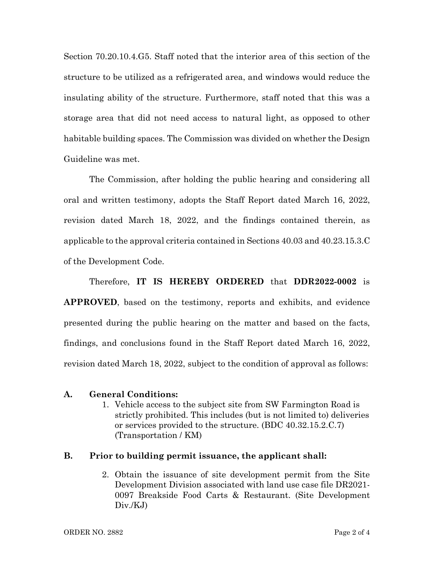Section 70.20.10.4.G5. Staff noted that the interior area of this section of the structure to be utilized as a refrigerated area, and windows would reduce the insulating ability of the structure. Furthermore, staff noted that this was a storage area that did not need access to natural light, as opposed to other habitable building spaces. The Commission was divided on whether the Design Guideline was met.

The Commission, after holding the public hearing and considering all oral and written testimony, adopts the Staff Report dated March 16, 2022, revision dated March 18, 2022, and the findings contained therein, as applicable to the approval criteria contained in Sections 40.03 and 40.23.15.3.C of the Development Code.

Therefore, **IT IS HEREBY ORDERED** that **DDR2022-0002** is **APPROVED**, based on the testimony, reports and exhibits, and evidence presented during the public hearing on the matter and based on the facts, findings, and conclusions found in the Staff Report dated March 16, 2022, revision dated March 18, 2022, subject to the condition of approval as follows:

### **A. General Conditions:**

1. Vehicle access to the subject site from SW Farmington Road is strictly prohibited. This includes (but is not limited to) deliveries or services provided to the structure. (BDC 40.32.15.2.C.7) (Transportation / KM)

### **B. Prior to building permit issuance, the applicant shall:**

2. Obtain the issuance of site development permit from the Site Development Division associated with land use case file DR2021- 0097 Breakside Food Carts & Restaurant. (Site Development Div./KJ)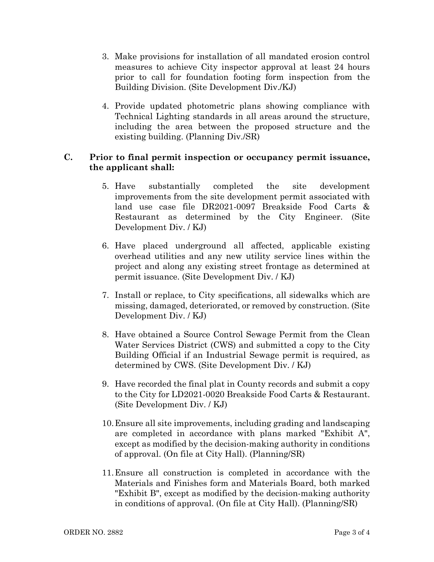- 3. Make provisions for installation of all mandated erosion control measures to achieve City inspector approval at least 24 hours prior to call for foundation footing form inspection from the Building Division. (Site Development Div./KJ)
- 4. Provide updated photometric plans showing compliance with Technical Lighting standards in all areas around the structure, including the area between the proposed structure and the existing building. (Planning Div./SR)

## **C. Prior to final permit inspection or occupancy permit issuance, the applicant shall:**

- 5. Have substantially completed the site development improvements from the site development permit associated with land use case file DR2021-0097 Breakside Food Carts & Restaurant as determined by the City Engineer. (Site Development Div. / KJ)
- 6. Have placed underground all affected, applicable existing overhead utilities and any new utility service lines within the project and along any existing street frontage as determined at permit issuance. (Site Development Div. / KJ)
- 7. Install or replace, to City specifications, all sidewalks which are missing, damaged, deteriorated, or removed by construction. (Site Development Div. / KJ)
- 8. Have obtained a Source Control Sewage Permit from the Clean Water Services District (CWS) and submitted a copy to the City Building Official if an Industrial Sewage permit is required, as determined by CWS. (Site Development Div. / KJ)
- 9. Have recorded the final plat in County records and submit a copy to the City for LD2021-0020 Breakside Food Carts & Restaurant. (Site Development Div. / KJ)
- 10.Ensure all site improvements, including grading and landscaping are completed in accordance with plans marked "Exhibit A", except as modified by the decision-making authority in conditions of approval. (On file at City Hall). (Planning/SR)
- 11.Ensure all construction is completed in accordance with the Materials and Finishes form and Materials Board, both marked "Exhibit B", except as modified by the decision-making authority in conditions of approval. (On file at City Hall). (Planning/SR)